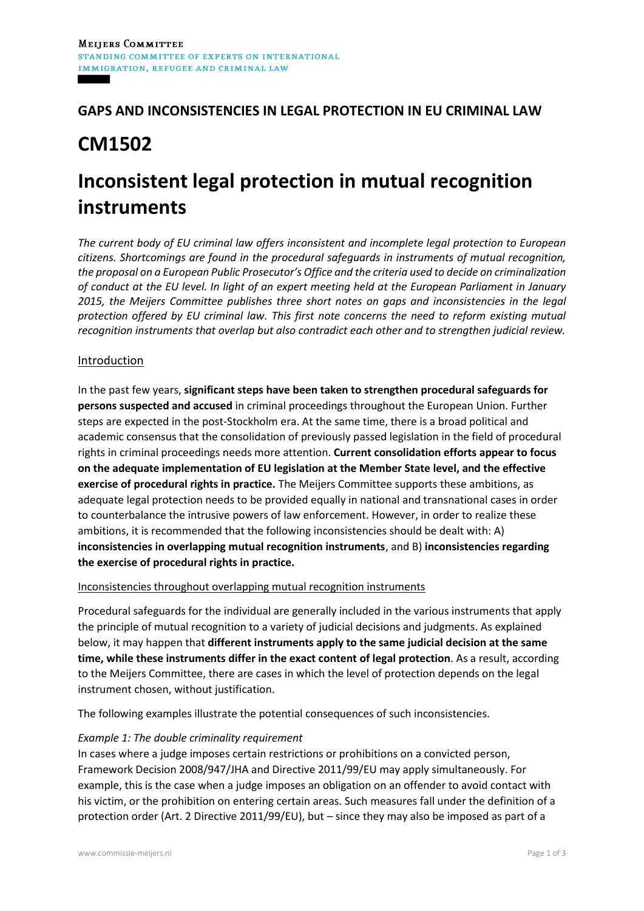## **GAPS AND INCONSISTENCIES IN LEGAL PROTECTION IN EU CRIMINAL LAW**

# **CM1502**

# **Inconsistent legal protection in mutual recognition instruments**

*The current body of EU criminal law offers inconsistent and incomplete legal protection to European citizens. Shortcomings are found in the procedural safeguards in instruments of mutual recognition, the proposal on a European Public Prosecutor's Office and the criteria used to decide on criminalization of conduct at the EU level. In light of an expert meeting held at the European Parliament in January 2015, the Meijers Committee publishes three short notes on gaps and inconsistencies in the legal protection offered by EU criminal law. This first note concerns the need to reform existing mutual recognition instruments that overlap but also contradict each other and to strengthen judicial review.* 

### Introduction

In the past few years, **significant steps have been taken to strengthen procedural safeguards for persons suspected and accused** in criminal proceedings throughout the European Union. Further steps are expected in the post-Stockholm era. At the same time, there is a broad political and academic consensus that the consolidation of previously passed legislation in the field of procedural rights in criminal proceedings needs more attention. **Current consolidation efforts appear to focus on the adequate implementation of EU legislation at the Member State level, and the effective exercise of procedural rights in practice.** The Meijers Committee supports these ambitions, as adequate legal protection needs to be provided equally in national and transnational cases in order to counterbalance the intrusive powers of law enforcement. However, in order to realize these ambitions, it is recommended that the following inconsistencies should be dealt with: A) **inconsistencies in overlapping mutual recognition instruments**, and B) **inconsistencies regarding the exercise of procedural rights in practice.**

#### Inconsistencies throughout overlapping mutual recognition instruments

Procedural safeguards for the individual are generally included in the various instruments that apply the principle of mutual recognition to a variety of judicial decisions and judgments. As explained below, it may happen that **different instruments apply to the same judicial decision at the same time, while these instruments differ in the exact content of legal protection**. As a result, according to the Meijers Committee, there are cases in which the level of protection depends on the legal instrument chosen, without justification.

The following examples illustrate the potential consequences of such inconsistencies.

#### *Example 1: The double criminality requirement*

In cases where a judge imposes certain restrictions or prohibitions on a convicted person, Framework Decision 2008/947/JHA and Directive 2011/99/EU may apply simultaneously. For example, this is the case when a judge imposes an obligation on an offender to avoid contact with his victim, or the prohibition on entering certain areas. Such measures fall under the definition of a protection order (Art. 2 Directive 2011/99/EU), but – since they may also be imposed as part of a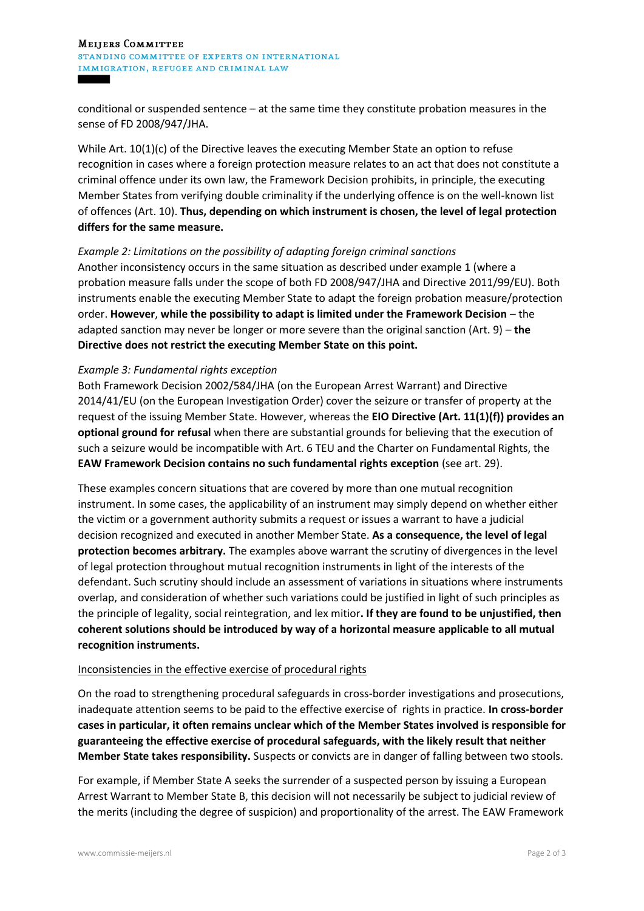#### **MEIJERS COMMITTEE** STANDING COMMITTEE OF EXPERTS ON INTERNATIONAL IMMIGRATION, REFUGEE AND CRIMINAL LAW

conditional or suspended sentence – at the same time they constitute probation measures in the sense of FD 2008/947/JHA.

While Art. 10(1)(c) of the Directive leaves the executing Member State an option to refuse recognition in cases where a foreign protection measure relates to an act that does not constitute a criminal offence under its own law, the Framework Decision prohibits, in principle, the executing Member States from verifying double criminality if the underlying offence is on the well-known list of offences (Art. 10). **Thus, depending on which instrument is chosen, the level of legal protection differs for the same measure.**

#### *Example 2: Limitations on the possibility of adapting foreign criminal sanctions*

Another inconsistency occurs in the same situation as described under example 1 (where a probation measure falls under the scope of both FD 2008/947/JHA and Directive 2011/99/EU). Both instruments enable the executing Member State to adapt the foreign probation measure/protection order. **However**, **while the possibility to adapt is limited under the Framework Decision** – the adapted sanction may never be longer or more severe than the original sanction (Art. 9) – **the Directive does not restrict the executing Member State on this point.**

#### *Example 3: Fundamental rights exception*

Both Framework Decision 2002/584/JHA (on the European Arrest Warrant) and Directive 2014/41/EU (on the European Investigation Order) cover the seizure or transfer of property at the request of the issuing Member State. However, whereas the **EIO Directive (Art. 11(1)(f)) provides an optional ground for refusal** when there are substantial grounds for believing that the execution of such a seizure would be incompatible with Art. 6 TEU and the Charter on Fundamental Rights, the **EAW Framework Decision contains no such fundamental rights exception** (see art. 29).

These examples concern situations that are covered by more than one mutual recognition instrument. In some cases, the applicability of an instrument may simply depend on whether either the victim or a government authority submits a request or issues a warrant to have a judicial decision recognized and executed in another Member State. **As a consequence, the level of legal protection becomes arbitrary.** The examples above warrant the scrutiny of divergences in the level of legal protection throughout mutual recognition instruments in light of the interests of the defendant. Such scrutiny should include an assessment of variations in situations where instruments overlap, and consideration of whether such variations could be justified in light of such principles as the principle of legality, social reintegration, and lex mitior**. If they are found to be unjustified, then coherent solutions should be introduced by way of a horizontal measure applicable to all mutual recognition instruments.**

#### Inconsistencies in the effective exercise of procedural rights

On the road to strengthening procedural safeguards in cross-border investigations and prosecutions, inadequate attention seems to be paid to the effective exercise of rights in practice. **In cross-border cases in particular, it often remains unclear which of the Member States involved is responsible for guaranteeing the effective exercise of procedural safeguards, with the likely result that neither Member State takes responsibility.** Suspects or convicts are in danger of falling between two stools.

For example, if Member State A seeks the surrender of a suspected person by issuing a European Arrest Warrant to Member State B, this decision will not necessarily be subject to judicial review of the merits (including the degree of suspicion) and proportionality of the arrest. The EAW Framework